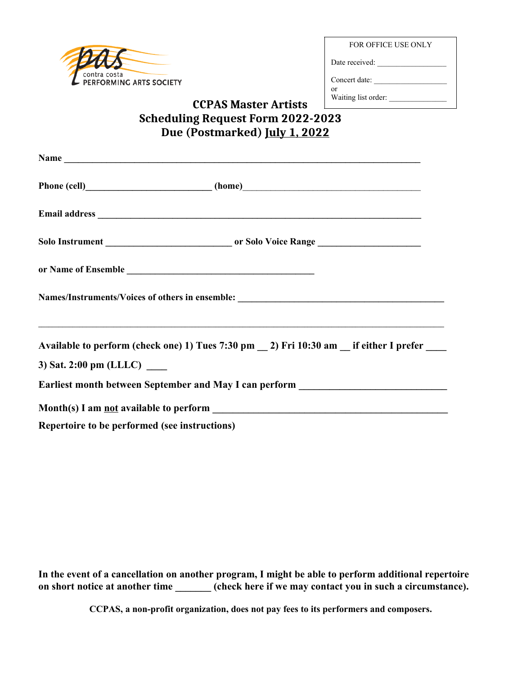

FOR OFFICE USE ONLY

Date received: \_\_\_\_\_\_\_\_\_\_\_\_\_\_\_\_\_\_

Concert date: \_\_\_\_\_\_\_\_\_\_\_\_\_\_\_\_\_\_\_

or Waiting list order:

## **CCPAS Master Artists Scheduling Request Form 2022-2023 Due (Postmarked) July 1, 2022**

|                                                                                  | Names/Instruments/Voices of others in ensemble: _________________________________                                                                                                                                    |
|----------------------------------------------------------------------------------|----------------------------------------------------------------------------------------------------------------------------------------------------------------------------------------------------------------------|
|                                                                                  | <u> 1999 - Jan James James James James James James James James James James James James James James James James J</u><br>Available to perform (check one) 1) Tues 7:30 pm _ 2) Fri 10:30 am _ if either I prefer ____ |
| 3) Sat. 2:00 pm (LLLC) $\_\_$                                                    |                                                                                                                                                                                                                      |
| Earliest month between September and May I can perform _________________________ |                                                                                                                                                                                                                      |
|                                                                                  |                                                                                                                                                                                                                      |
| Repertoire to be performed (see instructions)                                    |                                                                                                                                                                                                                      |

**In the event of a cancellation on another program, I might be able to perform additional repertoire** on short notice at another time \_\_\_\_\_\_\_ (check here if we may contact you in such a circumstance).

**CCPAS, a non-profit organization, does not pay fees to its performers and composers.**